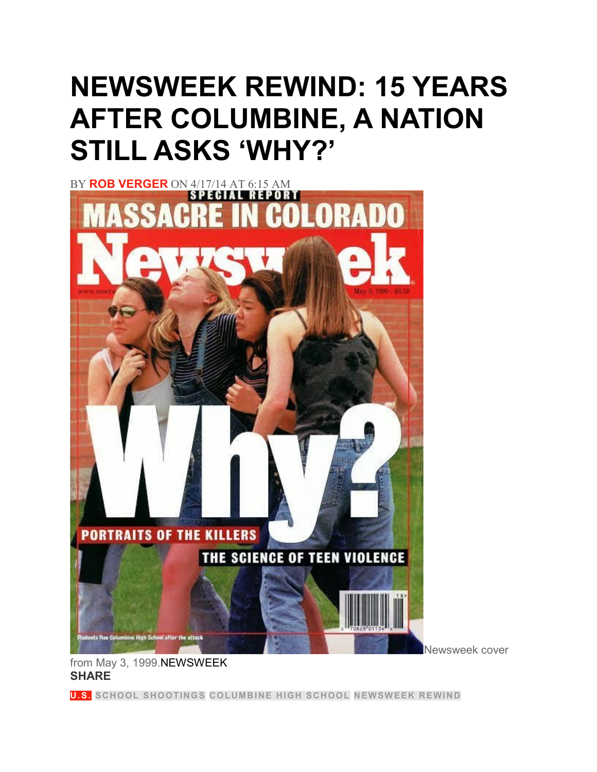## **NEWSWEEK REWIND: 15 YEARS AFTER COLUMBINE, A NATION STILL ASKS 'WHY?'**



Newsweek cover

## from May 3, 1999.NEWSWEEK **SHARE**

**[U.S.](https://www.newsweek.com/us) SCHOOL [SHOOTINGS](https://www.newsweek.com/topic/school-shootings) [COLUMBINE](https://www.newsweek.com/topic/columbine-high-school) HIGH SCHOOL [NEWSWEEK](https://www.newsweek.com/topic/newsweek-rewind) REWIND**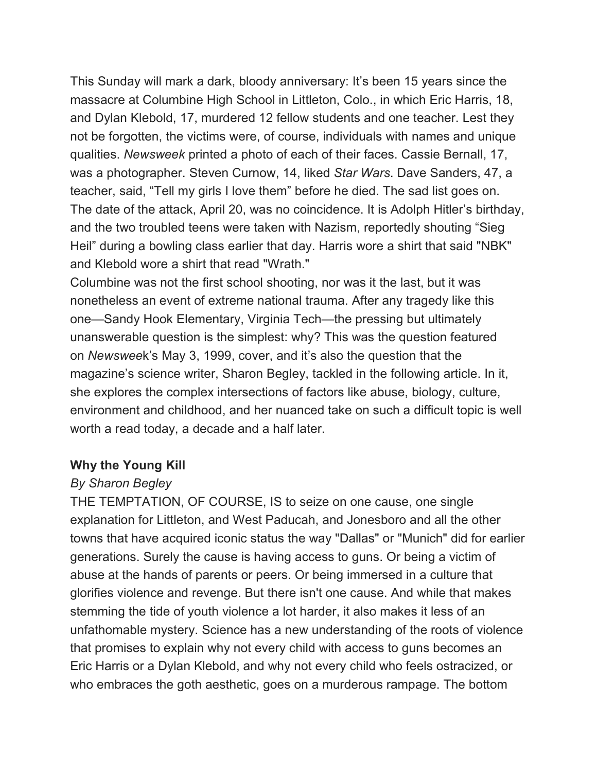This Sunday will mark a dark, bloody anniversary: It's been 15 years since the massacre at Columbine High School in Littleton, Colo., in which Eric Harris, 18, and Dylan Klebold, 17, murdered 12 fellow students and one teacher. Lest they not be forgotten, the victims were, of course, individuals with names and unique qualities. *Newsweek* printed a photo of each of their faces. Cassie Bernall, 17, was a photographer. Steven Curnow, 14, liked *Star Wars*. Dave Sanders, 47, a teacher, said, "Tell my girls I love them" before he died. The sad list goes on. The date of the attack, April 20, was no coincidence. It is Adolph Hitler's birthday, and the two troubled teens were taken with Nazism, reportedly shouting "Sieg Heil" during a bowling class earlier that day. Harris wore a shirt that said "NBK" and Klebold wore a shirt that read "Wrath."

Columbine was not the first school shooting, nor was it the last, but it was nonetheless an event of extreme national trauma. After any tragedy like this one—Sandy Hook Elementary, Virginia Tech—the pressing but ultimately unanswerable question is the simplest: why? This was the question featured on *Newswee*k's May 3, 1999, cover, and it's also the question that the magazine's science writer, Sharon Begley, tackled in the following article. In it, she explores the complex intersections of factors like abuse, biology, culture, environment and childhood, and her nuanced take on such a difficult topic is well worth a read today, a decade and a half later.

## **Why the Young Kill**

## *By Sharon Begley*

THE TEMPTATION, OF COURSE, IS to seize on one cause, one single explanation for Littleton, and West Paducah, and Jonesboro and all the other towns that have acquired iconic status the way "Dallas" or "Munich" did for earlier generations. Surely the cause is having access to guns. Or being a victim of abuse at the hands of parents or peers. Or being immersed in a culture that glorifies violence and revenge. But there isn't one cause. And while that makes stemming the tide of youth violence a lot harder, it also makes it less of an unfathomable mystery. Science has a new understanding of the roots of violence that promises to explain why not every child with access to guns becomes an Eric Harris or a Dylan Klebold, and why not every child who feels ostracized, or who embraces the goth aesthetic, goes on a murderous rampage. The bottom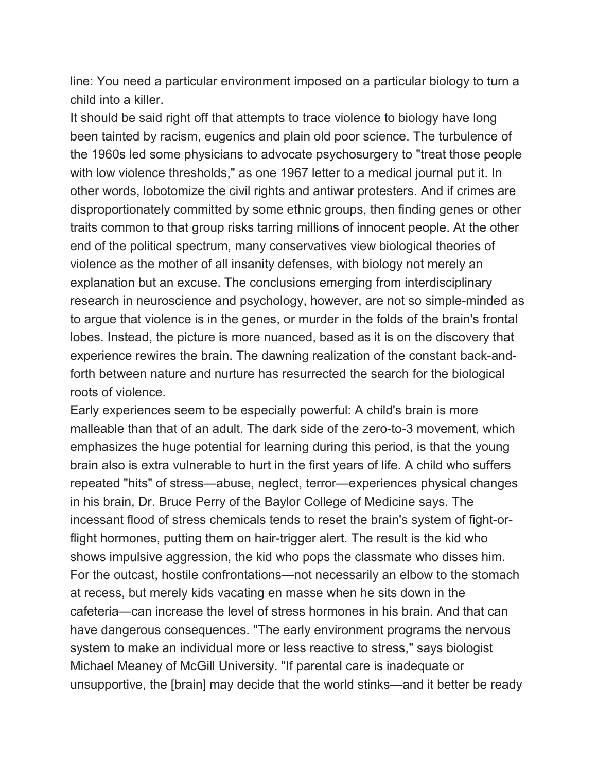line: You need a particular environment imposed on a particular biology to turn a child into a killer.

It should be said right off that attempts to trace violence to biology have long been tainted by racism, eugenics and plain old poor science. The turbulence of the 1960s led some physicians to advocate psychosurgery to "treat those people with low violence thresholds," as one 1967 letter to a medical journal put it. In other words, lobotomize the civil rights and antiwar protesters. And if crimes are disproportionately committed by some ethnic groups, then finding genes or other traits common to that group risks tarring millions of innocent people. At the other end of the political spectrum, many conservatives view biological theories of violence as the mother of all insanity defenses, with biology not merely an explanation but an excuse. The conclusions emerging from interdisciplinary research in neuroscience and psychology, however, are not so simple-minded as to argue that violence is in the genes, or murder in the folds of the brain's frontal lobes. Instead, the picture is more nuanced, based as it is on the discovery that experience rewires the brain. The dawning realization of the constant back-andforth between nature and nurture has resurrected the search for the biological roots of violence.

Early experiences seem to be especially powerful: A child's brain is more malleable than that of an adult. The dark side of the zero-to-3 movement, which emphasizes the huge potential for learning during this period, is that the young brain also is extra vulnerable to hurt in the first years of life. A child who suffers repeated "hits" of stress—abuse, neglect, terror—experiences physical changes in his brain, Dr. Bruce Perry of the Baylor College of Medicine says. The incessant flood of stress chemicals tends to reset the brain's system of fight-orflight hormones, putting them on hair-trigger alert. The result is the kid who shows impulsive aggression, the kid who pops the classmate who disses him. For the outcast, hostile confrontations—not necessarily an elbow to the stomach at recess, but merely kids vacating en masse when he sits down in the cafeteria—can increase the level of stress hormones in his brain. And that can have dangerous consequences. "The early environment programs the nervous system to make an individual more or less reactive to stress," says biologist Michael Meaney of McGill University. "If parental care is inadequate or unsupportive, the [brain] may decide that the world stinks—and it better be ready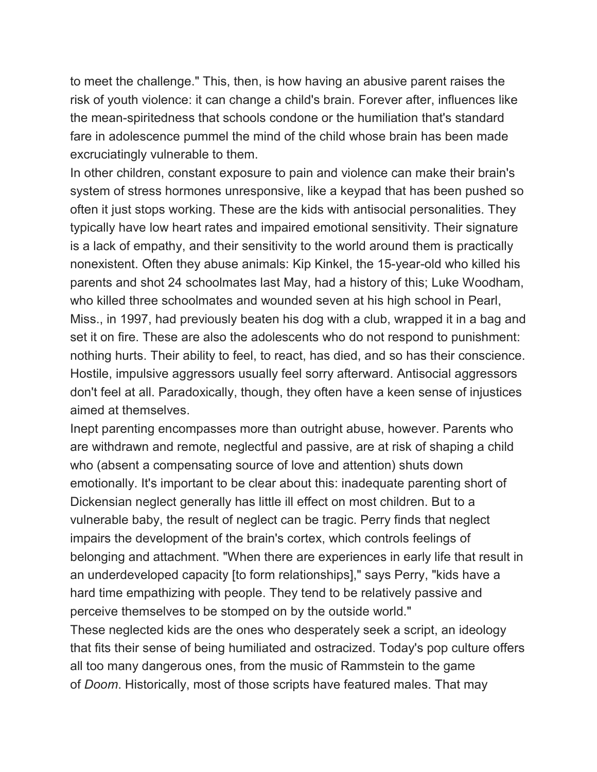to meet the challenge." This, then, is how having an abusive parent raises the risk of youth violence: it can change a child's brain. Forever after, influences like the mean-spiritedness that schools condone or the humiliation that's standard fare in adolescence pummel the mind of the child whose brain has been made excruciatingly vulnerable to them.

In other children, constant exposure to pain and violence can make their brain's system of stress hormones unresponsive, like a keypad that has been pushed so often it just stops working. These are the kids with antisocial personalities. They typically have low heart rates and impaired emotional sensitivity. Their signature is a lack of empathy, and their sensitivity to the world around them is practically nonexistent. Often they abuse animals: Kip Kinkel, the 15-year-old who killed his parents and shot 24 schoolmates last May, had a history of this; Luke Woodham, who killed three schoolmates and wounded seven at his high school in Pearl, Miss., in 1997, had previously beaten his dog with a club, wrapped it in a bag and set it on fire. These are also the adolescents who do not respond to punishment: nothing hurts. Their ability to feel, to react, has died, and so has their conscience. Hostile, impulsive aggressors usually feel sorry afterward. Antisocial aggressors don't feel at all. Paradoxically, though, they often have a keen sense of injustices aimed at themselves.

Inept parenting encompasses more than outright abuse, however. Parents who are withdrawn and remote, neglectful and passive, are at risk of shaping a child who (absent a compensating source of love and attention) shuts down emotionally. It's important to be clear about this: inadequate parenting short of Dickensian neglect generally has little ill effect on most children. But to a vulnerable baby, the result of neglect can be tragic. Perry finds that neglect impairs the development of the brain's cortex, which controls feelings of belonging and attachment. "When there are experiences in early life that result in an underdeveloped capacity [to form relationships]," says Perry, "kids have a hard time empathizing with people. They tend to be relatively passive and perceive themselves to be stomped on by the outside world."

These neglected kids are the ones who desperately seek a script, an ideology that fits their sense of being humiliated and ostracized. Today's pop culture offers all too many dangerous ones, from the music of Rammstein to the game of *Doom*. Historically, most of those scripts have featured males. That may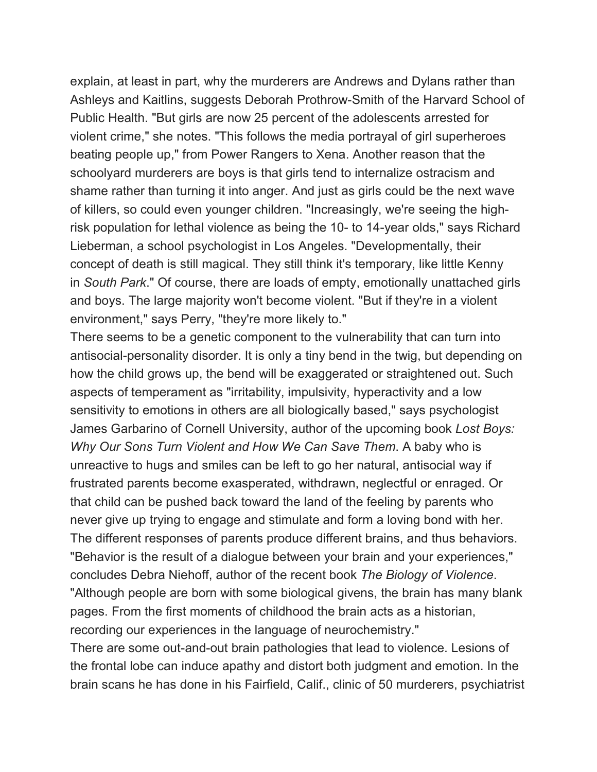explain, at least in part, why the murderers are Andrews and Dylans rather than Ashleys and Kaitlins, suggests Deborah Prothrow-Smith of the Harvard School of Public Health. "But girls are now 25 percent of the adolescents arrested for violent crime," she notes. "This follows the media portrayal of girl superheroes beating people up," from Power Rangers to Xena. Another reason that the schoolyard murderers are boys is that girls tend to internalize ostracism and shame rather than turning it into anger. And just as girls could be the next wave of killers, so could even younger children. "Increasingly, we're seeing the highrisk population for lethal violence as being the 10- to 14-year olds," says Richard Lieberman, a school psychologist in Los Angeles. "Developmentally, their concept of death is still magical. They still think it's temporary, like little Kenny in *South Park*." Of course, there are loads of empty, emotionally unattached girls and boys. The large majority won't become violent. "But if they're in a violent environment," says Perry, "they're more likely to."

There seems to be a genetic component to the vulnerability that can turn into antisocial-personality disorder. It is only a tiny bend in the twig, but depending on how the child grows up, the bend will be exaggerated or straightened out. Such aspects of temperament as "irritability, impulsivity, hyperactivity and a low sensitivity to emotions in others are all biologically based," says psychologist James Garbarino of Cornell University, author of the upcoming book *Lost Boys: Why Our Sons Turn Violent and How We Can Save Them*. A baby who is unreactive to hugs and smiles can be left to go her natural, antisocial way if frustrated parents become exasperated, withdrawn, neglectful or enraged. Or that child can be pushed back toward the land of the feeling by parents who never give up trying to engage and stimulate and form a loving bond with her. The different responses of parents produce different brains, and thus behaviors. "Behavior is the result of a dialogue between your brain and your experiences," concludes Debra Niehoff, author of the recent book *The Biology of Violence*. "Although people are born with some biological givens, the brain has many blank pages. From the first moments of childhood the brain acts as a historian, recording our experiences in the language of neurochemistry."

There are some out-and-out brain pathologies that lead to violence. Lesions of the frontal lobe can induce apathy and distort both judgment and emotion. In the brain scans he has done in his Fairfield, Calif., clinic of 50 murderers, psychiatrist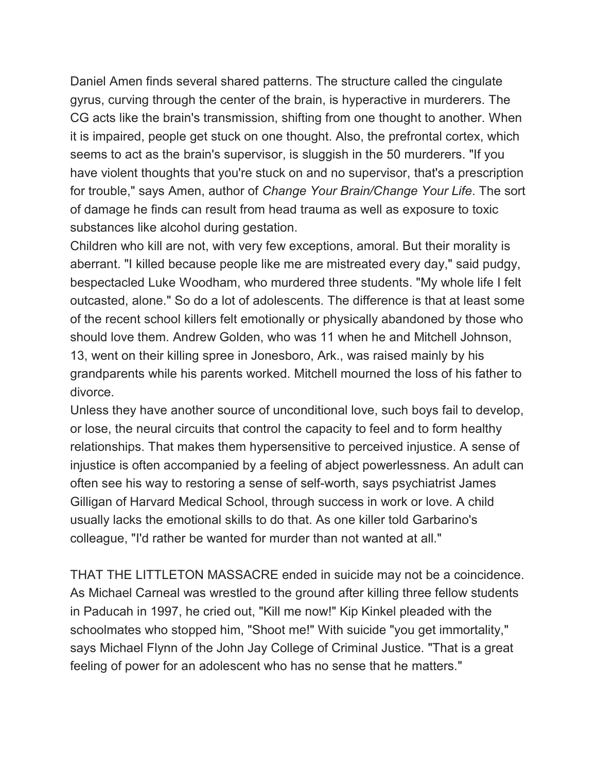Daniel Amen finds several shared patterns. The structure called the cingulate gyrus, curving through the center of the brain, is hyperactive in murderers. The CG acts like the brain's transmission, shifting from one thought to another. When it is impaired, people get stuck on one thought. Also, the prefrontal cortex, which seems to act as the brain's supervisor, is sluggish in the 50 murderers. "If you have violent thoughts that you're stuck on and no supervisor, that's a prescription for trouble," says Amen, author of *Change Your Brain/Change Your Life*. The sort of damage he finds can result from head trauma as well as exposure to toxic substances like alcohol during gestation.

Children who kill are not, with very few exceptions, amoral. But their morality is aberrant. "I killed because people like me are mistreated every day," said pudgy, bespectacled Luke Woodham, who murdered three students. "My whole life I felt outcasted, alone." So do a lot of adolescents. The difference is that at least some of the recent school killers felt emotionally or physically abandoned by those who should love them. Andrew Golden, who was 11 when he and Mitchell Johnson, 13, went on their killing spree in Jonesboro, Ark., was raised mainly by his grandparents while his parents worked. Mitchell mourned the loss of his father to divorce.

Unless they have another source of unconditional love, such boys fail to develop, or lose, the neural circuits that control the capacity to feel and to form healthy relationships. That makes them hypersensitive to perceived injustice. A sense of injustice is often accompanied by a feeling of abject powerlessness. An adult can often see his way to restoring a sense of self-worth, says psychiatrist James Gilligan of Harvard Medical School, through success in work or love. A child usually lacks the emotional skills to do that. As one killer told Garbarino's colleague, "I'd rather be wanted for murder than not wanted at all."

THAT THE LITTLETON MASSACRE ended in suicide may not be a coincidence. As Michael Carneal was wrestled to the ground after killing three fellow students in Paducah in 1997, he cried out, "Kill me now!" Kip Kinkel pleaded with the schoolmates who stopped him, "Shoot me!" With suicide "you get immortality," says Michael Flynn of the John Jay College of Criminal Justice. "That is a great feeling of power for an adolescent who has no sense that he matters."